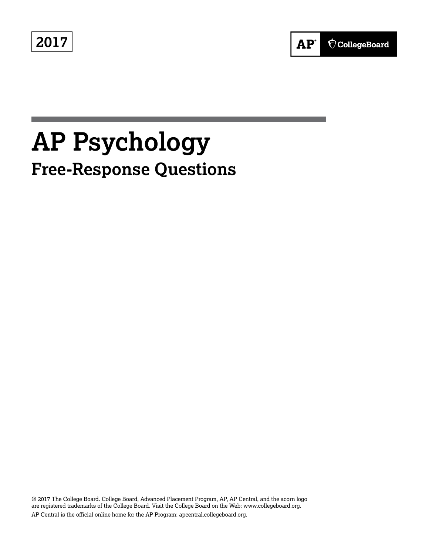**2017**



# **AP Psychology Free-Response Questions**

© 2017 The College Board. College Board, Advanced Placement Program, AP, AP Central, and the acorn logo are registered trademarks of the College Board. Visit the College Board on the Web: www.collegeboard.org. AP Central is the official online home for the AP Program: apcentral.collegeboard.org.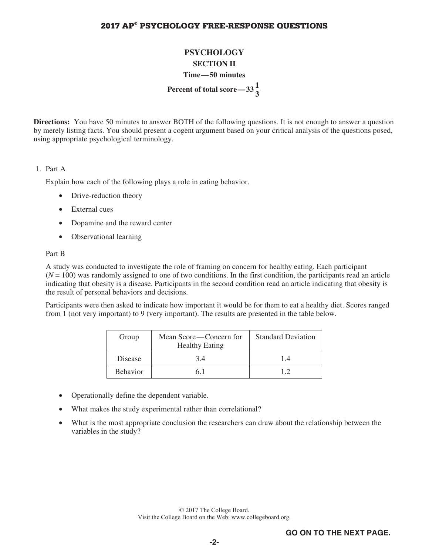### **2017 AP® PSYCHOLOGY FREE-RESPONSE QUESTIONS**

# **PSYCHOLOGY SECTION II Time—50 minutes Percent of total score—33** $\frac{1}{2}$ **3**

**Directions:** You have 50 minutes to answer BOTH of the following questions. It is not enough to answer a question by merely listing facts. You should present a cogent argument based on your critical analysis of the questions posed, using appropriate psychological terminology.

#### 1. Part A

Explain how each of the following plays a role in eating behavior.

- Drive-reduction theory
- External cues
- Dopamine and the reward center
- Observational learning

#### Part B

 A study was conducted to investigate the role of framing on concern for healthy eating. Each participant  $(N = 100)$  was randomly assigned to one of two conditions. In the first condition, the participants read an article indicating that obesity is a disease. Participants in the second condition read an article indicating that obesity is the result of personal behaviors and decisions.

 Participants were then asked to indicate how important it would be for them to eat a healthy diet. Scores ranged from 1 (not very important) to 9 (very important). The results are presented in the table below.

| Group           | Mean Score—Concern for<br><b>Healthy Eating</b> | <b>Standard Deviation</b> |
|-----------------|-------------------------------------------------|---------------------------|
| Disease         | 34                                              | 14                        |
| <b>Behavior</b> | 61                                              | 19                        |

- Operationally define the dependent variable.
- What makes the study experimental rather than correlational?
- What is the most appropriate conclusion the researchers can draw about the relationship between the variables in the study?

© 2017 The College Board. Visit the College Board on the Web: www.collegeboard.org.